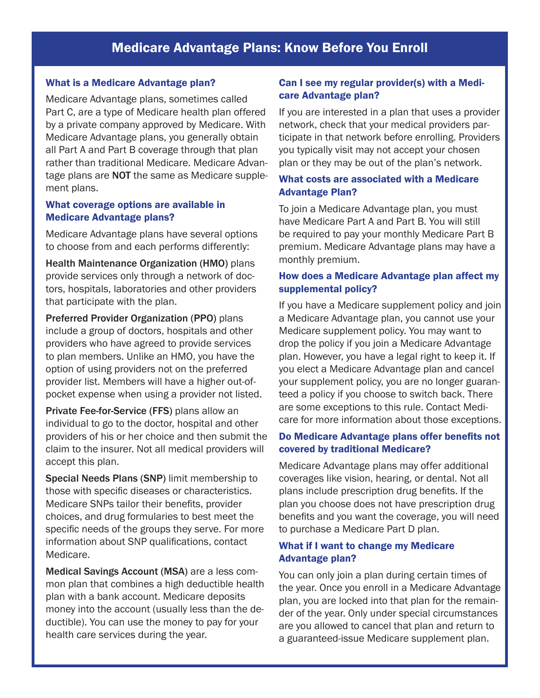# Medicare Advantage Plans: Know Before You Enroll

#### What is a Medicare Advantage plan?

Medicare Advantage plans, sometimes called Part C, are a type of Medicare health plan offered by a private company approved by Medicare. With Medicare Advantage plans, you generally obtain all Part A and Part B coverage through that plan rather than traditional Medicare. Medicare Advantage plans are **NOT** the same as Medicare supplement plans.

#### What coverage options are available in Medicare Advantage plans?

Medicare Advantage plans have several options to choose from and each performs differently:

Health Maintenance Organization (HMO) plans provide services only through a network of doctors, hospitals, laboratories and other providers that participate with the plan.

Preferred Provider Organization (PPO) plans include a group of doctors, hospitals and other providers who have agreed to provide services to plan members. Unlike an HMO, you have the option of using providers not on the preferred provider list. Members will have a higher out-ofpocket expense when using a provider not listed.

Private Fee-for-Service (FFS) plans allow an individual to go to the doctor, hospital and other providers of his or her choice and then submit the claim to the insurer. Not all medical providers will accept this plan.

Special Needs Plans (SNP) limit membership to those with specific diseases or characteristics. Medicare SNPs tailor their benefits, provider choices, and drug formularies to best meet the specific needs of the groups they serve. For more information about SNP qualifications, contact Medicare.

Medical Savings Account (MSA) are a less common plan that combines a high deductible health plan with a bank account. Medicare deposits money into the account (usually less than the deductible). You can use the money to pay for your health care services during the year.

### Can I see my regular provider(s) with a Medicare Advantage plan?

If you are interested in a plan that uses a provider network, check that your medical providers participate in that network before enrolling. Providers you typically visit may not accept your chosen plan or they may be out of the plan's network.

#### What costs are associated with a Medicare Advantage Plan?

To join a Medicare Advantage plan, you must have Medicare Part A and Part B. You will still be required to pay your monthly Medicare Part B premium. Medicare Advantage plans may have a monthly premium.

## How does a Medicare Advantage plan affect my supplemental policy?

If you have a Medicare supplement policy and join a Medicare Advantage plan, you cannot use your Medicare supplement policy. You may want to drop the policy if you join a Medicare Advantage plan. However, you have a legal right to keep it. If you elect a Medicare Advantage plan and cancel your supplement policy, you are no longer guaranteed a policy if you choose to switch back. There are some exceptions to this rule. Contact Medicare for more information about those exceptions.

### Do Medicare Advantage plans offer benefits not covered by traditional Medicare?

Medicare Advantage plans may offer additional coverages like vision, hearing, or dental. Not all plans include prescription drug benefits. If the plan you choose does not have prescription drug benefits and you want the coverage, you will need to purchase a Medicare Part D plan.

### What if I want to change my Medicare Advantage plan?

You can only join a plan during certain times of the year. Once you enroll in a Medicare Advantage plan, you are locked into that plan for the remainder of the year. Only under special circumstances are you allowed to cancel that plan and return to a guaranteed-issue Medicare supplement plan.